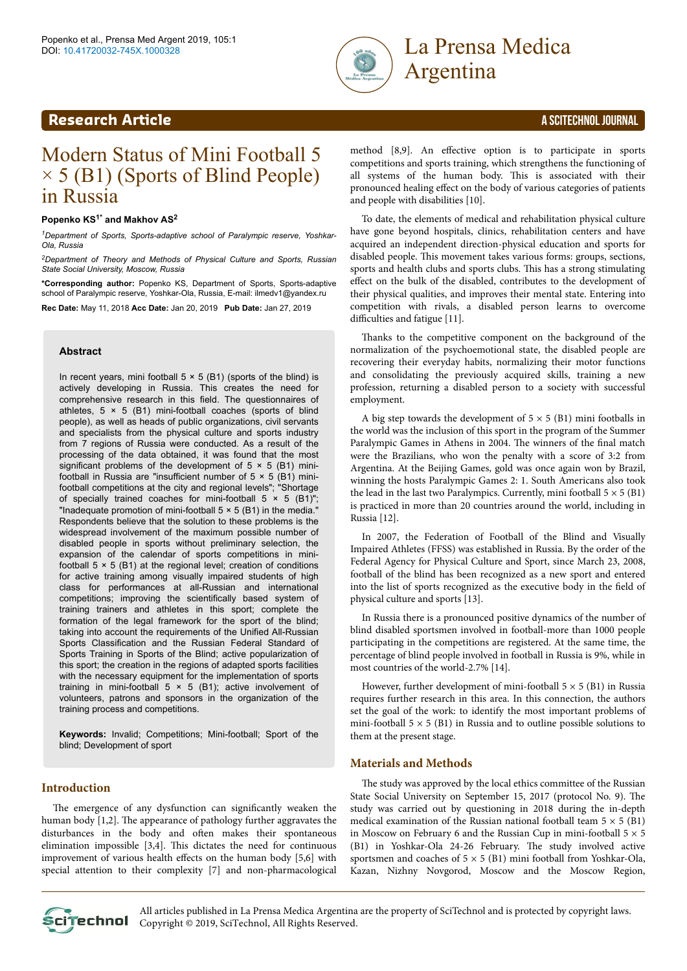



# Modern Status of Mini Football 5  $\times$  5 (B1) (Sports of Blind People) in Russia

# **Popenko KS1\* and Makhov AS<sup>2</sup>**

*<sup>1</sup>Department of Sports, Sports-adaptive school of Paralympic reserve, Yoshkar-Ola, Russia*

*<sup>2</sup>Department of Theory and Methods of Physical Culture and Sports, Russian State Social University, Moscow, Russia*

**\*Corresponding author:** Popenko KS, Department of Sports, Sports-adaptive school of Paralympic reserve, Yoshkar-Ola, Russia, E-mail: ilmedv1@yandex.ru

**Rec Date:** May 11, 2018 **Acc Date:** Jan 20, 2019 **Pub Date:** Jan 27, 2019

#### **Abstract**

In recent years, mini football  $5 \times 5$  (B1) (sports of the blind) is actively developing in Russia. This creates the need for comprehensive research in this field. The questionnaires of athletes,  $5 \times 5$  (B1) mini-football coaches (sports of blind people), as well as heads of public organizations, civil servants and specialists from the physical culture and sports industry from 7 regions of Russia were conducted. As a result of the processing of the data obtained, it was found that the most significant problems of the development of  $5 \times 5$  (B1) minifootball in Russia are "insufficient number of  $5 \times 5$  (B1) minifootball competitions at the city and regional levels"; "Shortage of specially trained coaches for mini-football  $5 \times 5$  (B1)"; "Inadequate promotion of mini-football  $5 \times 5$  (B1) in the media." Respondents believe that the solution to these problems is the widespread involvement of the maximum possible number of disabled people in sports without preliminary selection, the expansion of the calendar of sports competitions in minifootball  $5 \times 5$  (B1) at the regional level; creation of conditions for active training among visually impaired students of high class for performances at all-Russian and international competitions; improving the scientifically based system of training trainers and athletes in this sport; complete the formation of the legal framework for the sport of the blind; taking into account the requirements of the Unified All-Russian Sports Classification and the Russian Federal Standard of Sports Training in Sports of the Blind; active popularization of this sport; the creation in the regions of adapted sports facilities with the necessary equipment for the implementation of sports training in mini-football  $5 \times 5$  (B1); active involvement of volunteers, patrons and sponsors in the organization of the training process and competitions.

**Keywords:** Invalid; Competitions; Mini-football; Sport of the blind; Development of sport

# **Introduction**

The emergence of any dysfunction can significantly weaken the human body [1,2]. Нe appearance of pathology further aggravates the disturbances in the body and often makes their spontaneous elimination impossible [3,4]. Нis dictates the need for continuous improvement of various health effects on the human body [5,6] with special attention to their complexity [7] and non-pharmacological method [8,9]. An effective option is to participate in sports competitions and sports training, which strengthens the functioning of all systems of the human body. Нis is associated with their pronounced healing effect on the body of various categories of patients and people with disabilities [10].

To date, the elements of medical and rehabilitation physical culture have gone beyond hospitals, clinics, rehabilitation centers and have acquired an independent direction-physical education and sports for disabled people. Нis movement takes various forms: groups, sections, sports and health clubs and sports clubs. Нis has a strong stimulating effect on the bulk of the disabled, contributes to the development of their physical qualities, and improves their mental state. Entering into competition with rivals, a disabled person learns to overcome difficulties and fatigue [11].

Thanks to the competitive component on the background of the normalization of the psychoemotional state, the disabled people are recovering their everyday habits, normalizing their motor functions and consolidating the previously acquired skills, training a new profession, returning a disabled person to a society with successful employment.

A big step towards the development of  $5 \times 5$  (B1) mini footballs in the world was the inclusion of this sport in the program of the Summer Paralympic Games in Athens in 2004. The winners of the final match were the Brazilians, who won the penalty with a score of 3:2 from Argentina. At the Beijing Games, gold was once again won by Brazil, winning the hosts Paralympic Games 2: 1. South Americans also took the lead in the last two Paralympics. Currently, mini football  $5 \times 5$  (B1) is practiced in more than 20 countries around the world, including in Russia [12].

In 2007, the Federation of Football of the Blind and Visually Impaired Athletes (FFSS) was established in Russia. By the order of the Federal Agency for Physical Culture and Sport, since March 23, 2008, football of the blind has been recognized as a new sport and entered into the list of sports recognized as the executive body in the field of physical culture and sports [13].

In Russia there is a pronounced positive dynamics of the number of blind disabled sportsmen involved in football-more than 1000 people participating in the competitions are registered. At the same time, the percentage of blind people involved in football in Russia is 9%, while in most countries of the world-2.7% [14].

However, further development of mini-football  $5 \times 5$  (B1) in Russia requires further research in this area. In this connection, the authors set the goal of the work: to identify the most important problems of mini-football  $5 \times 5$  (B1) in Russia and to outline possible solutions to them at the present stage.

### **Materials and Methods**

The study was approved by the local ethics committee of the Russian State Social University on September 15, 2017 (protocol No. 9). Нe study was carried out by questioning in 2018 during the in-depth medical examination of the Russian national football team  $5 \times 5$  (B1) in Moscow on February 6 and the Russian Cup in mini-football  $5 \times 5$ (B1) in Yoshkar-Ola 24-26 February. Нe study involved active sportsmen and coaches of  $5 \times 5$  (B1) mini football from Yoshkar-Ola, Kazan, Nizhny Novgorod, Moscow and the Moscow Region,



All articles published in La Prensa Medica Argentina are the property of SciTechnol and is protected by copyright laws. **CLITECHNOL** Copyright © 2019, SciTechnol, All Rights Reserved.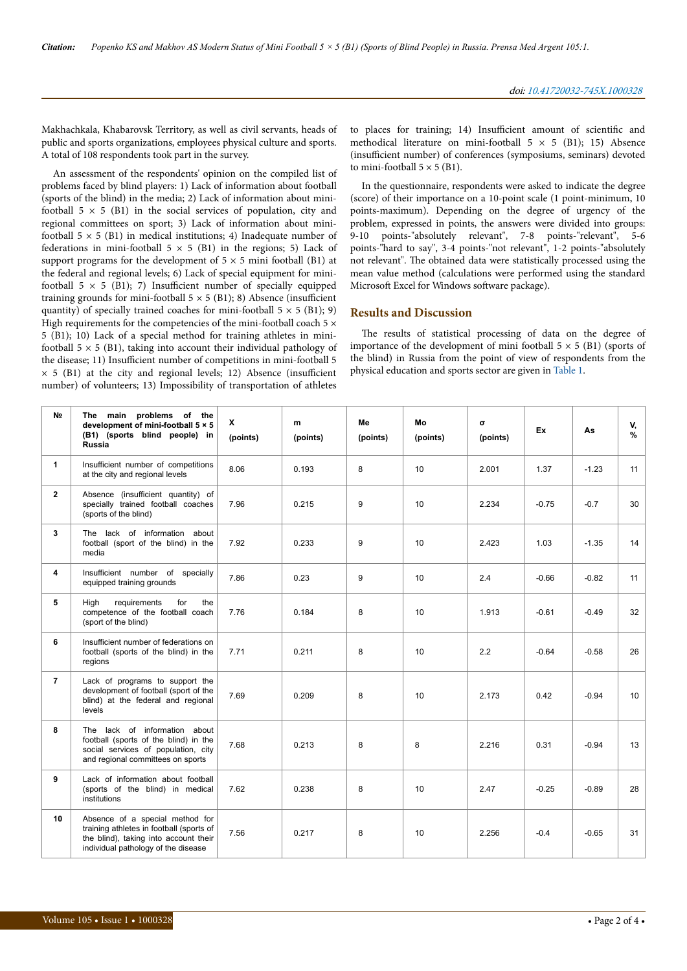Makhachkala, Khabarovsk Territory, as well as civil servants, heads of public and sports organizations, employees physical culture and sports. A total of 108 respondents took part in the survey.

An assessment of the respondents' opinion on the compiled list of problems faced by blind players: 1) Lack of information about football (sports of the blind) in the media; 2) Lack of information about minifootball  $5 \times 5$  (B1) in the social services of population, city and regional committees on sport; 3) Lack of information about minifootball  $5 \times 5$  (B1) in medical institutions; 4) Inadequate number of federations in mini-football  $5 \times 5$  (B1) in the regions; 5) Lack of support programs for the development of  $5 \times 5$  mini football (B1) at the federal and regional levels; 6) Lack of special equipment for minifootball  $5 \times 5$  (B1); 7) Insufficient number of specially equipped training grounds for mini-football  $5 \times 5$  (B1); 8) Absence (insufficient quantity) of specially trained coaches for mini-football  $5 \times 5$  (B1); 9) High requirements for the competencies of the mini-football coach  $5 \times$ 5 (B1); 10) Lack of a special method for training athletes in minifootball  $5 \times 5$  (B1), taking into account their individual pathology of the disease; 11) Insufficient number of competitions in mini-football 5  $\times$  5 (B1) at the city and regional levels; 12) Absence (insufficient number) of volunteers; 13) Impossibility of transportation of athletes

to places for training; 14) Insufficient amount of scientific and methodical literature on mini-football  $5 \times 5$  (B1); 15) Absence (insufficient number) of conferences (symposiums, seminars) devoted to mini-football  $5 \times 5$  (B1).

In the questionnaire, respondents were asked to indicate the degree (score) of their importance on a 10-point scale (1 point-minimum, 10 points-maximum). Depending on the degree of urgency of the problem, expressed in points, the answers were divided into groups: 9-10 points-"absolutely relevant", 7-8 points-"relevant", 5-6 points-"hard to say", 3-4 points-"not relevant", 1-2 points-"absolutely not relevant". Нe obtained data were statistically processed using the mean value method (calculations were performed using the standard Microsoft Excel for Windows software package).

# **Results and Discussion**

The results of statistical processing of data on the degree of importance of the development of mini football  $5 \times 5$  (B1) (sports of the blind) in Russia from the point of view of respondents from the physical education and sports sector are given in [Table 1](#page-2-0).

| N <sub>2</sub> | The main<br>problems of the<br>development of mini-football 5 × 5<br>(B1) (sports blind people) in<br>Russia                                                | $\mathbf{x}$<br>(points) | m<br>(points) | Me<br>(points) | Mo<br>(points) | σ<br>(points) | Ex      | As      | V,<br>% |
|----------------|-------------------------------------------------------------------------------------------------------------------------------------------------------------|--------------------------|---------------|----------------|----------------|---------------|---------|---------|---------|
| 1              | Insufficient number of competitions<br>at the city and regional levels                                                                                      | 8.06                     | 0.193         | 8              | 10             | 2.001         | 1.37    | $-1.23$ | 11      |
| $\overline{2}$ | Absence (insufficient quantity) of<br>specially trained football coaches<br>(sports of the blind)                                                           | 7.96                     | 0.215         | 9              | 10             | 2.234         | $-0.75$ | $-0.7$  | 30      |
| 3              | The lack of information about<br>football (sport of the blind) in the<br>media                                                                              | 7.92                     | 0.233         | 9              | 10             | 2.423         | 1.03    | $-1.35$ | 14      |
| 4              | Insufficient number of specially<br>equipped training grounds                                                                                               | 7.86                     | 0.23          | 9              | 10             | 2.4           | $-0.66$ | $-0.82$ | 11      |
| 5              | for<br>High<br>requirements<br>the<br>competence of the football coach<br>(sport of the blind)                                                              | 7.76                     | 0.184         | 8              | 10             | 1.913         | $-0.61$ | $-0.49$ | 32      |
| 6              | Insufficient number of federations on<br>football (sports of the blind) in the<br>regions                                                                   | 7.71                     | 0.211         | 8              | 10             | 2.2           | $-0.64$ | $-0.58$ | 26      |
| $\overline{7}$ | Lack of programs to support the<br>development of football (sport of the<br>blind) at the federal and regional<br>levels                                    | 7.69                     | 0.209         | 8              | 10             | 2.173         | 0.42    | $-0.94$ | 10      |
| 8              | The lack of information about<br>football (sports of the blind) in the<br>social services of population, city<br>and regional committees on sports          | 7.68                     | 0.213         | 8              | 8              | 2.216         | 0.31    | $-0.94$ | 13      |
| 9              | Lack of information about football<br>(sports of the blind) in medical<br>institutions                                                                      | 7.62                     | 0.238         | 8              | 10             | 2.47          | $-0.25$ | $-0.89$ | 28      |
| 10             | Absence of a special method for<br>training athletes in football (sports of<br>the blind), taking into account their<br>individual pathology of the disease | 7.56                     | 0.217         | 8              | 10             | 2.256         | $-0.4$  | $-0.65$ | 31      |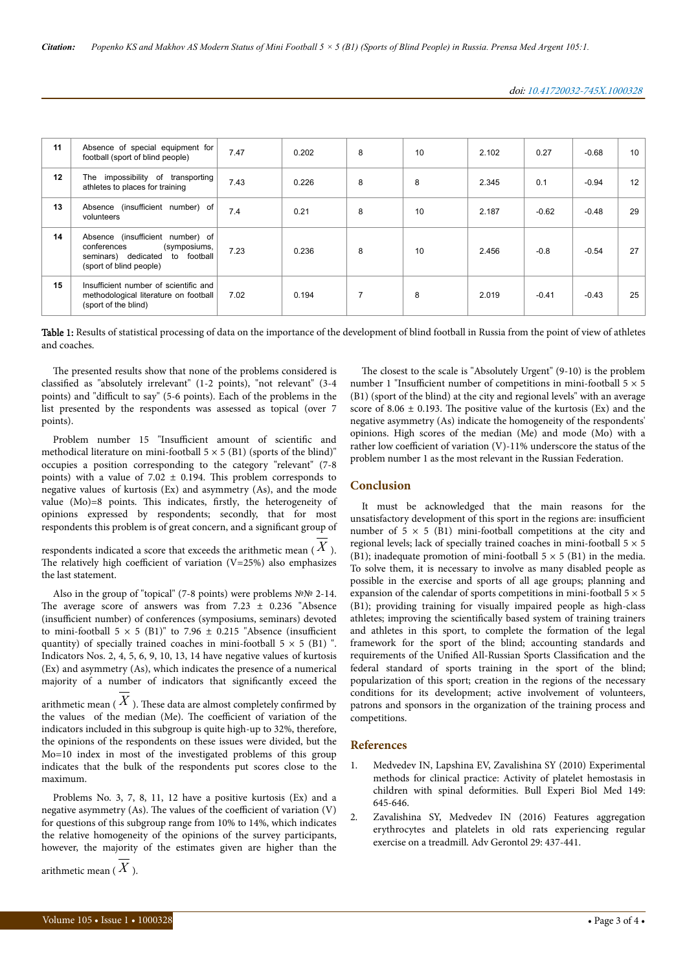<span id="page-2-0"></span>

| 11 | Absence of special equipment for<br>football (sport of blind people)                                                             | 7.47 | 0.202 | 8 | 10 | 2.102 | 0.27    | $-0.68$ | 10 |
|----|----------------------------------------------------------------------------------------------------------------------------------|------|-------|---|----|-------|---------|---------|----|
| 12 | The impossibility of transporting<br>athletes to places for training                                                             | 7.43 | 0.226 | 8 | 8  | 2.345 | 0.1     | $-0.94$ | 12 |
| 13 | Absence (insufficient number) of<br>volunteers                                                                                   | 7.4  | 0.21  | 8 | 10 | 2.187 | $-0.62$ | $-0.48$ | 29 |
| 14 | Absence (insufficient number) of<br>conferences<br>(symposiums,<br>to football<br>seminars) dedicated<br>(sport of blind people) | 7.23 | 0.236 | 8 | 10 | 2.456 | $-0.8$  | $-0.54$ | 27 |
| 15 | Insufficient number of scientific and<br>methodological literature on football<br>(sport of the blind)                           | 7.02 | 0.194 |   | 8  | 2.019 | $-0.41$ | $-0.43$ | 25 |

Table 1: Results of statistical processing of data on the importance of the development of blind football in Russia from the point of view of athletes and coaches.

The presented results show that none of the problems considered is classified as "absolutely irrelevant" (1-2 points), "not relevant" (3-4 points) and "difficult to say" (5-6 points). Each of the problems in the list presented by the respondents was assessed as topical (over 7 points).

Problem number 15 "Insufficient amount of scientific and methodical literature on mini-football  $5 \times 5$  (B1) (sports of the blind)" occupies a position corresponding to the category "relevant" (7-8 points) with a value of  $7.02 \pm 0.194$ . This problem corresponds to negative values of kurtosis (Ex) and asymmetry (As), and the mode value  $(Mo)=8$  points. This indicates, firstly, the heterogeneity of opinions expressed by respondents; secondly, that for most respondents this problem is of great concern, and a significant group of

respondents indicated a score that exceeds the arithmetic mean (  $X$  ). The relatively high coefficient of variation  $(V=25%)$  also emphasizes the last statement.

Also in the group of "topical" (7-8 points) were problems №№ 2-14. The average score of answers was from  $7.23 \pm 0.236$  "Absence (insufficient number) of conferences (symposiums, seminars) devoted to mini-football  $5 \times 5$  (B1)" to 7.96  $\pm$  0.215 "Absence (insufficient quantity) of specially trained coaches in mini-football  $5 \times 5$  (B1) ". Indicators Nos. 2, 4, 5, 6, 9, 10, 13, 14 have negative values of kurtosis (Ex) and asymmetry (As), which indicates the presence of a numerical majority of a number of indicators that significantly exceed the arithmetic mean  $(X)$ . These data are almost completely confirmed by the values of the median (Me). The coefficient of variation of the indicators included in this subgroup is quite high-up to 32%, therefore, the opinions of the respondents on these issues were divided, but the Mo=10 index in most of the investigated problems of this group indicates that the bulk of the respondents put scores close to the maximum.

Problems No. 3, 7, 8, 11, 12 have a positive kurtosis (Ex) and a negative asymmetry (As). The values of the coefficient of variation  $(V)$ for questions of this subgroup range from 10% to 14%, which indicates the relative homogeneity of the opinions of the survey participants, however, the majority of the estimates given are higher than the

arithmetic mean (  $\bar{X}$  ).

competitions. **References**

- 1. [Medvedev IN, Lapshina EV, Zavalishina SY \(2010\) Experimental](https://link.springer.com/article/10.1007/s10517-010-1014-0) [methods for clinical practice: Activity of platelet hemostasis in](https://link.springer.com/article/10.1007/s10517-010-1014-0) [children with spinal deformities. Bull Experi Biol Med 149:](https://link.springer.com/article/10.1007/s10517-010-1014-0) [645-646.](https://link.springer.com/article/10.1007/s10517-010-1014-0)
- 2. [Zavalishina SY, Medvedev IN \(2016\) Features aggregation](http://europepmc.org/abstract/med/28525691) [erythrocytes and platelets in old rats experiencing regular](http://europepmc.org/abstract/med/28525691) [exercise on a treadmill. Adv Gerontol 29: 437-441.](http://europepmc.org/abstract/med/28525691)

## **Conclusion**

It must be acknowledged that the main reasons for the unsatisfactory development of this sport in the regions are: insufficient number of  $5 \times 5$  (B1) mini-football competitions at the city and regional levels; lack of specially trained coaches in mini-football  $5 \times 5$ (B1); inadequate promotion of mini-football  $5 \times 5$  (B1) in the media. To solve them, it is necessary to involve as many disabled people as possible in the exercise and sports of all age groups; planning and expansion of the calendar of sports competitions in mini-football  $5 \times 5$ (B1); providing training for visually impaired people as high-class athletes; improving the scientifically based system of training trainers and athletes in this sport, to complete the formation of the legal framework for the sport of the blind; accounting standards and requirements of the Unified All-Russian Sports Classification and the federal standard of sports training in the sport of the blind; popularization of this sport; creation in the regions of the necessary conditions for its development; active involvement of volunteers, patrons and sponsors in the organization of the training process and

The closest to the scale is "Absolutely Urgent" (9-10) is the problem number 1 "Insufficient number of competitions in mini-football  $5 \times 5$ (B1) (sport of the blind) at the city and regional levels" with an average score of 8.06  $\pm$  0.193. The positive value of the kurtosis (Ex) and the negative asymmetry (As) indicate the homogeneity of the respondents' opinions. High scores of the median (Me) and mode (Mo) with a rather low coefficient of variation (V)-11% underscore the status of the problem number 1 as the most relevant in the Russian Federation.

# doi: 10.41720032-745X.1000328